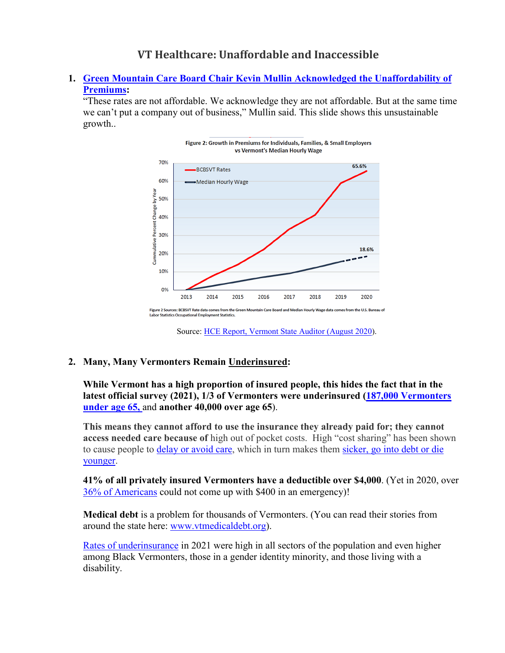# **VT Healthcare: Unaffordable and Inaccessible**

## **1. Green Mountain Care [Board Chair Kevin Mullin Acknowledged the Unaffordability of](https://vtdigger.org/2019/08/08/insurance-rate-increases-approved-12-4-for-bcbs-10-1-for-mvp/)  [Premiums:](https://vtdigger.org/2019/08/08/insurance-rate-increases-approved-12-4-for-bcbs-10-1-for-mvp/)**

"These rates are not affordable. We acknowledge they are not affordable. But at the same time we can't put a company out of business," Mullin said. This slide shows this unsustainable growth..





#### **2. Many, Many Vermonters Remain [Underinsured:](https://www.healthvermont.gov/sites/default/files/documents/pdf/HSVR-VHHIS-2021-Report.pdf)**

### **While Vermont has a high proportion of insured people, this hides the fact that in the latest official survey (2021), 1/3 of Vermonters were underinsured [\(187,000 Vermonters](https://www.healthvermont.gov/sites/default/files/documents/pdf/HSVR-VHHIS-2021-Report.pdf)  [under age 65,](https://www.healthvermont.gov/sites/default/files/documents/pdf/HSVR-VHHIS-2021-Report.pdf)** and **another 40,000 over age 65**).

**This means they cannot afford to use the insurance they already paid for; they cannot access needed care because of** high out of pocket costs. High "cost sharing" has been shown to cause people to [delay or avoid care,](https://nam02.safelinks.protection.outlook.com/?url=https%3A%2F%2Fwww.commonwealthfund.org%2Fpublications%2Fissue-briefs%2F2020%2Faug%2Flooming-crisis-health-coverage-2020-biennial&data=05%7C01%7Coxfeld%40middlebury.edu%7C094869161e354c32fb5108da47005ff5%7Ca1bb0a191576421dbe93b3a7d4b6dcaa%7C1%7C0%7C637900364313171036%7CUnknown%7CTWFpbGZsb3d8eyJWIjoiMC4wLjAwMDAiLCJQIjoiV2luMzIiLCJBTiI6Ik1haWwiLCJXVCI6Mn0%3D%7C3000%7C%7C%7C&sdata=ZC4qiHbMi%2FZKJVfaomaLVSJu7QBsMUgLyGWNpZ1YOFU%3D&reserved=0) which in turn makes them [sicker, go into debt or die](https://nam02.safelinks.protection.outlook.com/?url=https%3A%2F%2Fwww.acpjournals.org%2Fdoi%2F10.7326%2Fm17-1403&data=05%7C01%7Coxfeld%40middlebury.edu%7C094869161e354c32fb5108da47005ff5%7Ca1bb0a191576421dbe93b3a7d4b6dcaa%7C1%7C0%7C637900364313327327%7CUnknown%7CTWFpbGZsb3d8eyJWIjoiMC4wLjAwMDAiLCJQIjoiV2luMzIiLCJBTiI6Ik1haWwiLCJXVCI6Mn0%3D%7C3000%7C%7C%7C&sdata=oqJCwtiQMrIqBWs6T6AzfQvKU99KDota2ta%2FBgEmlHc%3D&reserved=0)  [younger.](https://nam02.safelinks.protection.outlook.com/?url=https%3A%2F%2Fwww.acpjournals.org%2Fdoi%2F10.7326%2Fm17-1403&data=05%7C01%7Coxfeld%40middlebury.edu%7C094869161e354c32fb5108da47005ff5%7Ca1bb0a191576421dbe93b3a7d4b6dcaa%7C1%7C0%7C637900364313327327%7CUnknown%7CTWFpbGZsb3d8eyJWIjoiMC4wLjAwMDAiLCJQIjoiV2luMzIiLCJBTiI6Ik1haWwiLCJXVCI6Mn0%3D%7C3000%7C%7C%7C&sdata=oqJCwtiQMrIqBWs6T6AzfQvKU99KDota2ta%2FBgEmlHc%3D&reserved=0)

**41% of all privately insured Vermonters have a deductible over \$4,000**. (Yet in 2020, over [36% of Americans](https://www.minneapolisfed.org/article/2021/what-a-400-dollar-emergency-expense-tells-us-about-the-economy) could not come up with \$400 in an emergency)!

**Medical debt** is a problem for thousands of Vermonters. (You can read their stories from around the state here: [www.vtmedicaldebt.org\)](http://www.vtmedicaldebt.org/).

[Rates of underinsurance](https://www.healthvermont.gov/sites/default/files/documents/pdf/HSVR-VHHIS-2021-Report.pdf) in 2021 were high in all sectors of the population and even higher among Black Vermonters, those in a gender identity minority, and those living with a disability.